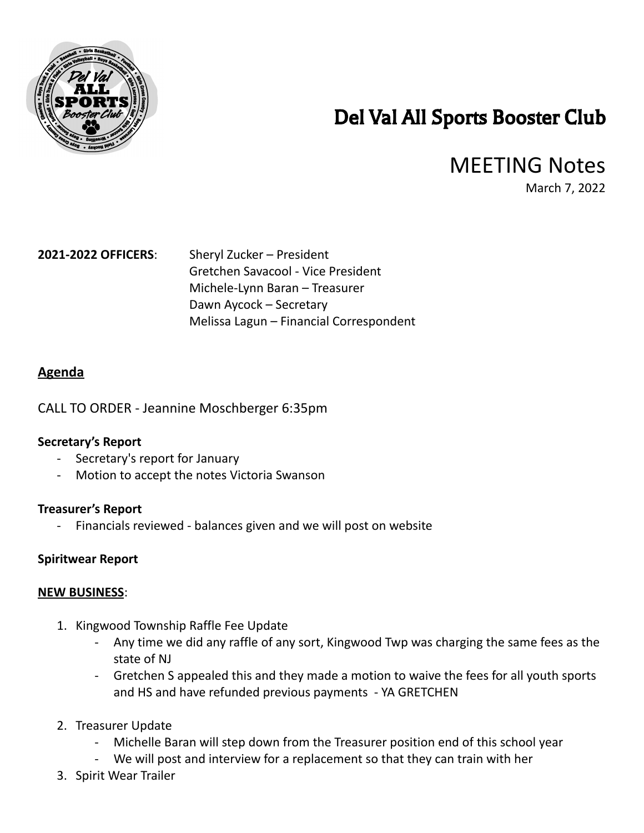

# Del Val All Sports Booster Club

## MEETING Notes

March 7, 2022

### **2021-2022 OFFICERS**: Sheryl Zucker – President

Gretchen Savacool - Vice President Michele-Lynn Baran – Treasurer Dawn Aycock – Secretary Melissa Lagun – Financial Correspondent

#### **Agenda**

CALL TO ORDER - Jeannine Moschberger 6:35pm

#### **Secretary's Report**

- Secretary's report for January
- Motion to accept the notes Victoria Swanson

#### **Treasurer's Report**

- Financials reviewed - balances given and we will post on website

#### **Spiritwear Report**

#### **NEW BUSINESS**:

- 1. Kingwood Township Raffle Fee Update
	- Any time we did any raffle of any sort, Kingwood Twp was charging the same fees as the state of NJ
	- Gretchen S appealed this and they made a motion to waive the fees for all youth sports and HS and have refunded previous payments - YA GRETCHEN
- 2. Treasurer Update
	- Michelle Baran will step down from the Treasurer position end of this school year
	- We will post and interview for a replacement so that they can train with her
- 3. Spirit Wear Trailer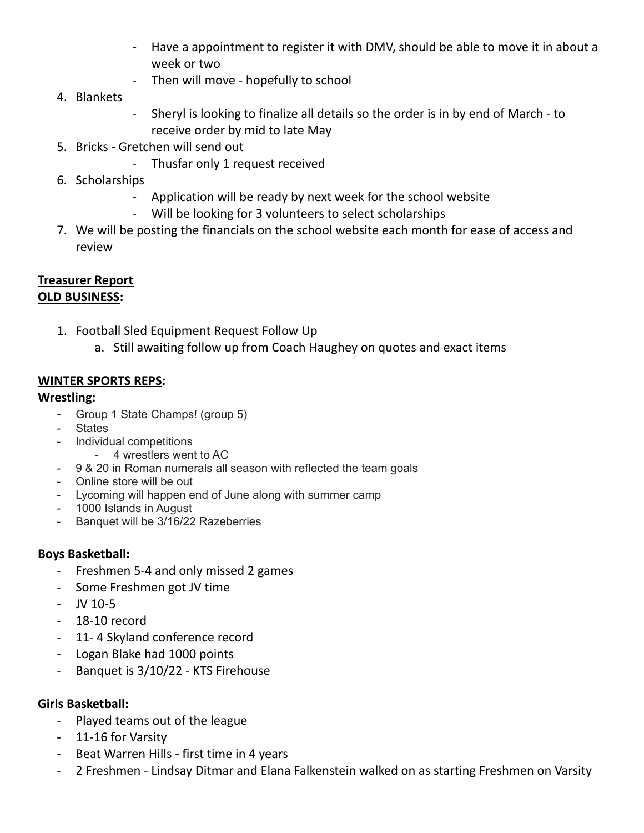- - Have a appointment to register it with DMV, should be able to move it in about a week or two
- Then will move hopefully to school
- 4. Blankets
- - Sheryl is looking to finalize all details so the order is in by end of March to receive order by mid to late May
- 5. Bricks Gretchen will send out
	- Thusfar only 1 request received
- 6. Scholarships
	- Application will be ready by next week for the school website
	- Will be looking for 3 volunteers to select scholarships
- 7. We will be posting the financials on the school website each month for ease of access and review

#### **Treasurer Report OLD BUSINESS:**

- 1. Football Sled Equipment Request Follow Up
	- a. Still awaiting follow up from Coach Haughey on quotes and exact items

#### **WINTER SPORTS REPS:**

#### **Wrestling:**

- Group 1 State Champs! (group 5)
- States
- Individual competitions
	- 4 wrestlers went to AC
- 9 & 20 in Roman numerals all season with reflected the team goals
- Online store will be out
- Lycoming will happen end of June along with summer camp
- 1000 Islands in August
- Banquet will be 3/16/22 Razeberries

#### **Boys Basketball:**

- Freshmen 5-4 and only missed 2 games
- Some Freshmen got JV time
- JV 10-5
- 18-10 record
- 11- 4 Skyland conference record
- Logan Blake had 1000 points
- Banquet is 3/10/22 KTS Firehouse

#### **Girls Basketball:**

- Played teams out of the league
- 11-16 for Varsity
- Beat Warren Hills first time in 4 years
- 2 Freshmen Lindsay Ditmar and Elana Falkenstein walked on as starting Freshmen on Varsity